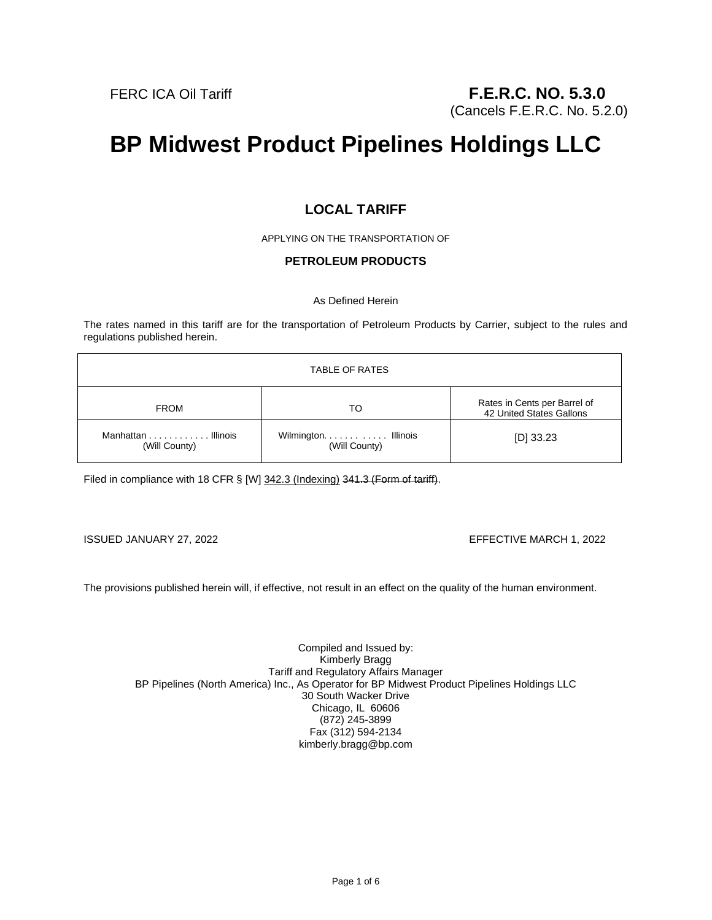# **BP Midwest Product Pipelines Holdings LLC**

# **LOCAL TARIFF**

APPLYING ON THE TRANSPORTATION OF

## **PETROLEUM PRODUCTS**

As Defined Herein

The rates named in this tariff are for the transportation of Petroleum Products by Carrier, subject to the rules and regulations published herein.

| TABLE OF RATES                      |                                      |                                                          |
|-------------------------------------|--------------------------------------|----------------------------------------------------------|
| <b>FROM</b>                         | то                                   | Rates in Cents per Barrel of<br>42 United States Gallons |
| Manhattan Illinois<br>(Will County) | Wilmington Illinois<br>(Will County) | $[D]$ 33.23                                              |

Filed in compliance with 18 CFR § [W] 342.3 (Indexing) 341.3 (Form of tariff).

ISSUED JANUARY 27, 2022 EFFECTIVE MARCH 1, 2022

The provisions published herein will, if effective, not result in an effect on the quality of the human environment.

Compiled and Issued by: Kimberly Bragg Tariff and Regulatory Affairs Manager BP Pipelines (North America) Inc., As Operator for BP Midwest Product Pipelines Holdings LLC 30 South Wacker Drive Chicago, IL 60606 (872) 245-3899 Fax (312) 594-2134 kimberly.bragg@bp.com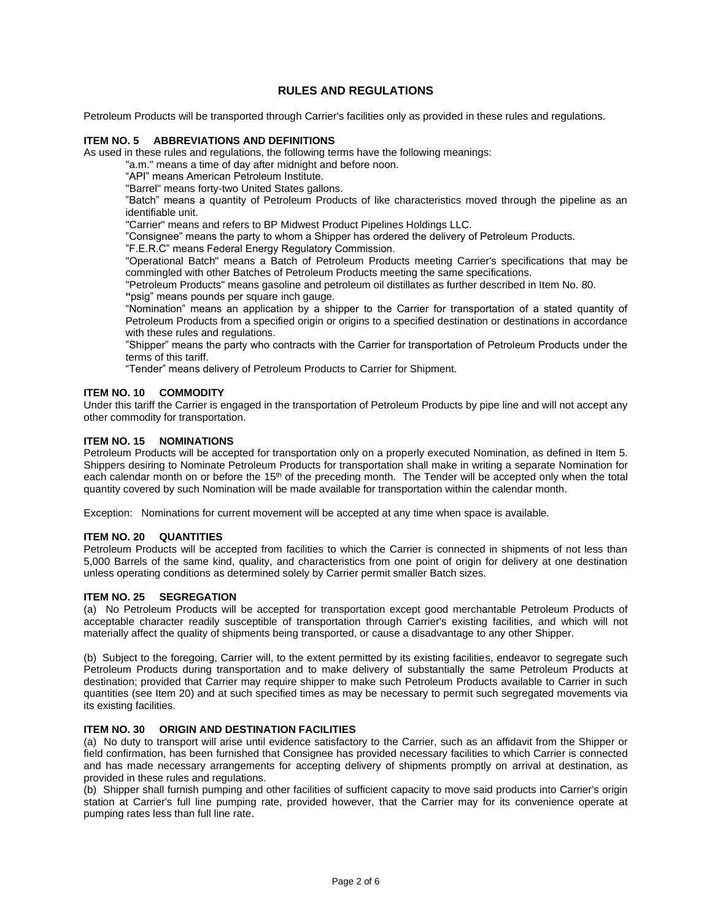# **RULES AND REGULATIONS**

Petroleum Products will be transported through Carrier's facilities only as provided in these rules and regulations.

#### **ITEM NO. 5 ABBREVIATIONS AND DEFINITIONS**

As used in these rules and regulations, the following terms have the following meanings:

"a.m." means a time of day after midnight and before noon.

"API" means American Petroleum Institute.

"Barrel" means forty-two United States gallons.

"Batch" means a quantity of Petroleum Products of like characteristics moved through the pipeline as an identifiable unit.

"Carrier" means and refers to BP Midwest Product Pipelines Holdings LLC.

"Consignee" means the party to whom a Shipper has ordered the delivery of Petroleum Products.

"F.E.R.C" means Federal Energy Regulatory Commission.

"Operational Batch" means a Batch of Petroleum Products meeting Carrier's specifications that may be commingled with other Batches of Petroleum Products meeting the same specifications.

"Petroleum Products" means gasoline and petroleum oil distillates as further described in Item No. 80. **"**psig" means pounds per square inch gauge.

"Nomination" means an application by a shipper to the Carrier for transportation of a stated quantity of Petroleum Products from a specified origin or origins to a specified destination or destinations in accordance with these rules and regulations.

"Shipper" means the party who contracts with the Carrier for transportation of Petroleum Products under the terms of this tariff.

"Tender" means delivery of Petroleum Products to Carrier for Shipment.

#### **ITEM NO. 10 COMMODITY**

Under this tariff the Carrier is engaged in the transportation of Petroleum Products by pipe line and will not accept any other commodity for transportation.

#### **ITEM NO. 15 NOMINATIONS**

Petroleum Products will be accepted for transportation only on a properly executed Nomination, as defined in Item 5. Shippers desiring to Nominate Petroleum Products for transportation shall make in writing a separate Nomination for each calendar month on or before the 15<sup>th</sup> of the preceding month. The Tender will be accepted only when the total quantity covered by such Nomination will be made available for transportation within the calendar month.

Exception: Nominations for current movement will be accepted at any time when space is available.

#### **ITEM NO. 20 QUANTITIES**

Petroleum Products will be accepted from facilities to which the Carrier is connected in shipments of not less than 5,000 Barrels of the same kind, quality, and characteristics from one point of origin for delivery at one destination unless operating conditions as determined solely by Carrier permit smaller Batch sizes.

#### **ITEM NO. 25 SEGREGATION**

(a) No Petroleum Products will be accepted for transportation except good merchantable Petroleum Products of acceptable character readily susceptible of transportation through Carrier's existing facilities, and which will not materially affect the quality of shipments being transported, or cause a disadvantage to any other Shipper.

(b) Subject to the foregoing, Carrier will, to the extent permitted by its existing facilities, endeavor to segregate such Petroleum Products during transportation and to make delivery of substantially the same Petroleum Products at destination; provided that Carrier may require shipper to make such Petroleum Products available to Carrier in such quantities (see Item 20) and at such specified times as may be necessary to permit such segregated movements via its existing facilities.

#### **ITEM NO. 30 ORIGIN AND DESTINATION FACILITIES**

(a) No duty to transport will arise until evidence satisfactory to the Carrier, such as an affidavit from the Shipper or field confirmation, has been furnished that Consignee has provided necessary facilities to which Carrier is connected and has made necessary arrangements for accepting delivery of shipments promptly on arrival at destination, as provided in these rules and regulations.

(b) Shipper shall furnish pumping and other facilities of sufficient capacity to move said products into Carrier's origin station at Carrier's full line pumping rate, provided however, that the Carrier may for its convenience operate at pumping rates less than full line rate.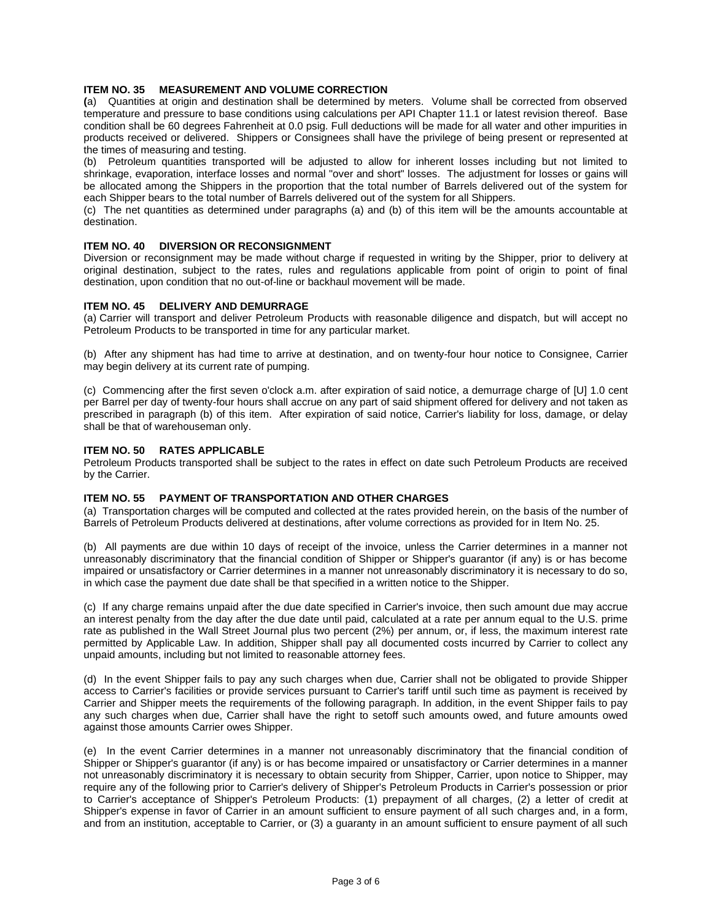#### **ITEM NO. 35 MEASUREMENT AND VOLUME CORRECTION**

**(**a) Quantities at origin and destination shall be determined by meters. Volume shall be corrected from observed temperature and pressure to base conditions using calculations per API Chapter 11.1 or latest revision thereof. Base condition shall be 60 degrees Fahrenheit at 0.0 psig. Full deductions will be made for all water and other impurities in products received or delivered. Shippers or Consignees shall have the privilege of being present or represented at the times of measuring and testing.

(b) Petroleum quantities transported will be adjusted to allow for inherent losses including but not limited to shrinkage, evaporation, interface losses and normal "over and short" losses. The adjustment for losses or gains will be allocated among the Shippers in the proportion that the total number of Barrels delivered out of the system for each Shipper bears to the total number of Barrels delivered out of the system for all Shippers.

(c) The net quantities as determined under paragraphs (a) and (b) of this item will be the amounts accountable at destination.

#### **ITEM NO. 40 DIVERSION OR RECONSIGNMENT**

Diversion or reconsignment may be made without charge if requested in writing by the Shipper, prior to delivery at original destination, subject to the rates, rules and regulations applicable from point of origin to point of final destination, upon condition that no out-of-line or backhaul movement will be made.

#### **ITEM NO. 45 DELIVERY AND DEMURRAGE**

(a) Carrier will transport and deliver Petroleum Products with reasonable diligence and dispatch, but will accept no Petroleum Products to be transported in time for any particular market.

(b) After any shipment has had time to arrive at destination, and on twenty-four hour notice to Consignee, Carrier may begin delivery at its current rate of pumping.

(c) Commencing after the first seven o'clock a.m. after expiration of said notice, a demurrage charge of [U] 1.0 cent per Barrel per day of twenty-four hours shall accrue on any part of said shipment offered for delivery and not taken as prescribed in paragraph (b) of this item. After expiration of said notice, Carrier's liability for loss, damage, or delay shall be that of warehouseman only.

#### **ITEM NO. 50 RATES APPLICABLE**

Petroleum Products transported shall be subject to the rates in effect on date such Petroleum Products are received by the Carrier.

#### **ITEM NO. 55 PAYMENT OF TRANSPORTATION AND OTHER CHARGES**

(a) Transportation charges will be computed and collected at the rates provided herein, on the basis of the number of Barrels of Petroleum Products delivered at destinations, after volume corrections as provided for in Item No. 25.

(b) All payments are due within 10 days of receipt of the invoice, unless the Carrier determines in a manner not unreasonably discriminatory that the financial condition of Shipper or Shipper's guarantor (if any) is or has become impaired or unsatisfactory or Carrier determines in a manner not unreasonably discriminatory it is necessary to do so, in which case the payment due date shall be that specified in a written notice to the Shipper.

(c) If any charge remains unpaid after the due date specified in Carrier's invoice, then such amount due may accrue an interest penalty from the day after the due date until paid, calculated at a rate per annum equal to the U.S. prime rate as published in the Wall Street Journal plus two percent (2%) per annum, or, if less, the maximum interest rate permitted by Applicable Law. In addition, Shipper shall pay all documented costs incurred by Carrier to collect any unpaid amounts, including but not limited to reasonable attorney fees.

(d) In the event Shipper fails to pay any such charges when due, Carrier shall not be obligated to provide Shipper access to Carrier's facilities or provide services pursuant to Carrier's tariff until such time as payment is received by Carrier and Shipper meets the requirements of the following paragraph. In addition, in the event Shipper fails to pay any such charges when due, Carrier shall have the right to setoff such amounts owed, and future amounts owed against those amounts Carrier owes Shipper.

(e) In the event Carrier determines in a manner not unreasonably discriminatory that the financial condition of Shipper or Shipper's guarantor (if any) is or has become impaired or unsatisfactory or Carrier determines in a manner not unreasonably discriminatory it is necessary to obtain security from Shipper, Carrier, upon notice to Shipper, may require any of the following prior to Carrier's delivery of Shipper's Petroleum Products in Carrier's possession or prior to Carrier's acceptance of Shipper's Petroleum Products: (1) prepayment of all charges, (2) a letter of credit at Shipper's expense in favor of Carrier in an amount sufficient to ensure payment of all such charges and, in a form, and from an institution, acceptable to Carrier, or (3) a guaranty in an amount sufficient to ensure payment of all such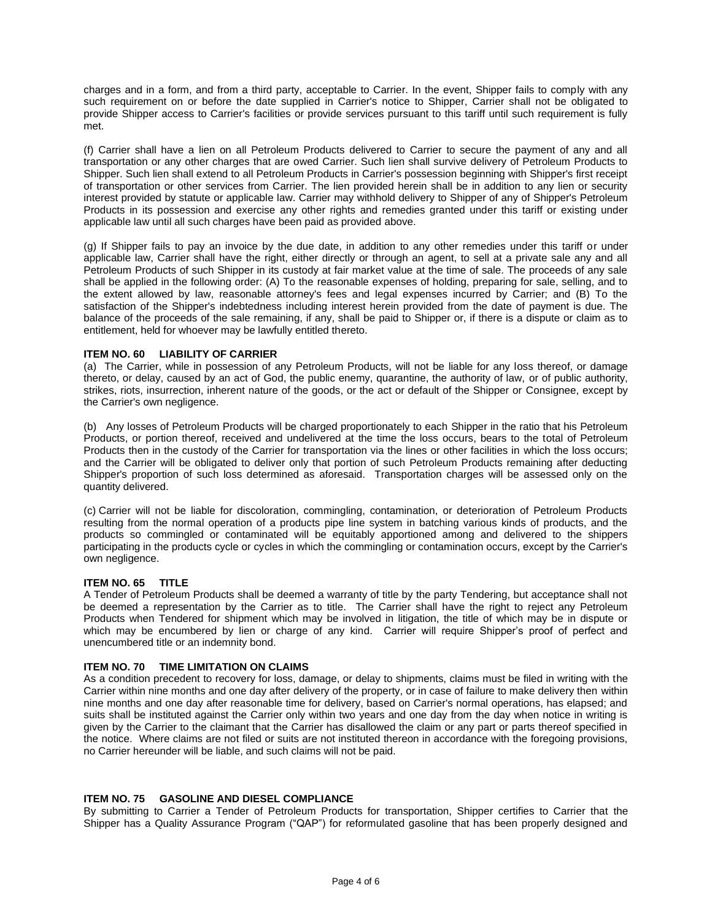charges and in a form, and from a third party, acceptable to Carrier. In the event, Shipper fails to comply with any such requirement on or before the date supplied in Carrier's notice to Shipper, Carrier shall not be obligated to provide Shipper access to Carrier's facilities or provide services pursuant to this tariff until such requirement is fully met.

(f) Carrier shall have a lien on all Petroleum Products delivered to Carrier to secure the payment of any and all transportation or any other charges that are owed Carrier. Such lien shall survive delivery of Petroleum Products to Shipper. Such lien shall extend to all Petroleum Products in Carrier's possession beginning with Shipper's first receipt of transportation or other services from Carrier. The lien provided herein shall be in addition to any lien or security interest provided by statute or applicable law. Carrier may withhold delivery to Shipper of any of Shipper's Petroleum Products in its possession and exercise any other rights and remedies granted under this tariff or existing under applicable law until all such charges have been paid as provided above.

(g) If Shipper fails to pay an invoice by the due date, in addition to any other remedies under this tariff or under applicable law, Carrier shall have the right, either directly or through an agent, to sell at a private sale any and all Petroleum Products of such Shipper in its custody at fair market value at the time of sale. The proceeds of any sale shall be applied in the following order: (A) To the reasonable expenses of holding, preparing for sale, selling, and to the extent allowed by law, reasonable attorney's fees and legal expenses incurred by Carrier; and (B) To the satisfaction of the Shipper's indebtedness including interest herein provided from the date of payment is due. The balance of the proceeds of the sale remaining, if any, shall be paid to Shipper or, if there is a dispute or claim as to entitlement, held for whoever may be lawfully entitled thereto.

#### **ITEM NO. 60 LIABILITY OF CARRIER**

(a) The Carrier, while in possession of any Petroleum Products, will not be liable for any loss thereof, or damage thereto, or delay, caused by an act of God, the public enemy, quarantine, the authority of law, or of public authority, strikes, riots, insurrection, inherent nature of the goods, or the act or default of the Shipper or Consignee, except by the Carrier's own negligence.

(b) Any losses of Petroleum Products will be charged proportionately to each Shipper in the ratio that his Petroleum Products, or portion thereof, received and undelivered at the time the loss occurs, bears to the total of Petroleum Products then in the custody of the Carrier for transportation via the lines or other facilities in which the loss occurs; and the Carrier will be obligated to deliver only that portion of such Petroleum Products remaining after deducting Shipper's proportion of such loss determined as aforesaid. Transportation charges will be assessed only on the quantity delivered.

(c) Carrier will not be liable for discoloration, commingling, contamination, or deterioration of Petroleum Products resulting from the normal operation of a products pipe line system in batching various kinds of products, and the products so commingled or contaminated will be equitably apportioned among and delivered to the shippers participating in the products cycle or cycles in which the commingling or contamination occurs, except by the Carrier's own negligence.

#### **ITEM NO. 65 TITLE**

A Tender of Petroleum Products shall be deemed a warranty of title by the party Tendering, but acceptance shall not be deemed a representation by the Carrier as to title. The Carrier shall have the right to reject any Petroleum Products when Tendered for shipment which may be involved in litigation, the title of which may be in dispute or which may be encumbered by lien or charge of any kind. Carrier will require Shipper's proof of perfect and unencumbered title or an indemnity bond.

#### **ITEM NO. 70 TIME LIMITATION ON CLAIMS**

As a condition precedent to recovery for loss, damage, or delay to shipments, claims must be filed in writing with the Carrier within nine months and one day after delivery of the property, or in case of failure to make delivery then within nine months and one day after reasonable time for delivery, based on Carrier's normal operations, has elapsed; and suits shall be instituted against the Carrier only within two years and one day from the day when notice in writing is given by the Carrier to the claimant that the Carrier has disallowed the claim or any part or parts thereof specified in the notice. Where claims are not filed or suits are not instituted thereon in accordance with the foregoing provisions, no Carrier hereunder will be liable, and such claims will not be paid.

## **ITEM NO. 75 GASOLINE AND DIESEL COMPLIANCE**

By submitting to Carrier a Tender of Petroleum Products for transportation, Shipper certifies to Carrier that the Shipper has a Quality Assurance Program ("QAP") for reformulated gasoline that has been properly designed and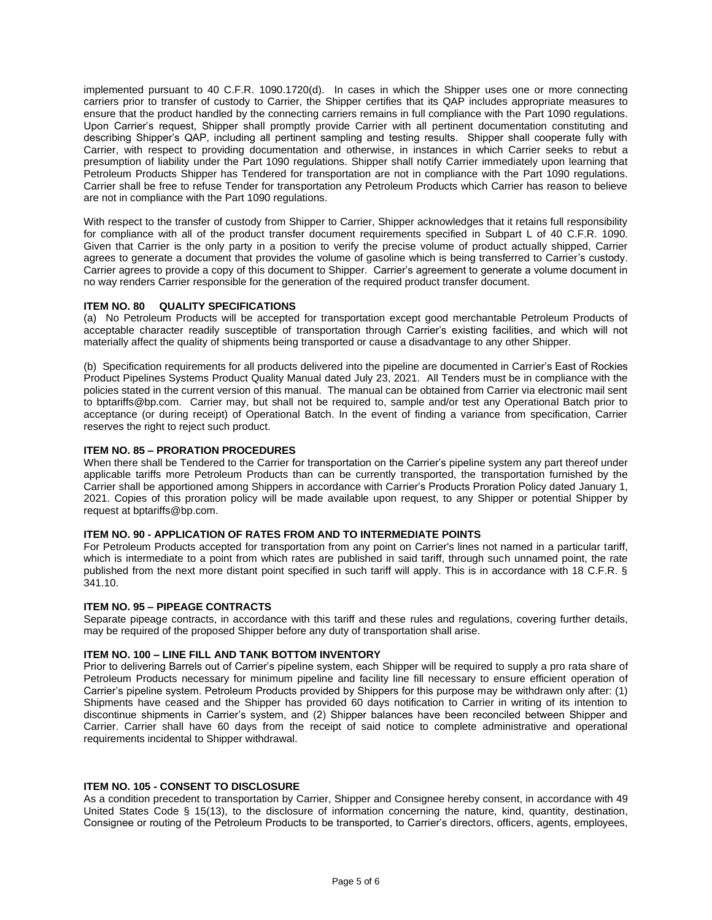implemented pursuant to 40 C.F.R. 1090.1720(d). In cases in which the Shipper uses one or more connecting carriers prior to transfer of custody to Carrier, the Shipper certifies that its QAP includes appropriate measures to ensure that the product handled by the connecting carriers remains in full compliance with the Part 1090 regulations. Upon Carrier's request, Shipper shall promptly provide Carrier with all pertinent documentation constituting and describing Shipper's QAP, including all pertinent sampling and testing results. Shipper shall cooperate fully with Carrier, with respect to providing documentation and otherwise, in instances in which Carrier seeks to rebut a presumption of liability under the Part 1090 regulations. Shipper shall notify Carrier immediately upon learning that Petroleum Products Shipper has Tendered for transportation are not in compliance with the Part 1090 regulations. Carrier shall be free to refuse Tender for transportation any Petroleum Products which Carrier has reason to believe are not in compliance with the Part 1090 regulations.

With respect to the transfer of custody from Shipper to Carrier, Shipper acknowledges that it retains full responsibility for compliance with all of the product transfer document requirements specified in Subpart L of 40 C.F.R. 1090. Given that Carrier is the only party in a position to verify the precise volume of product actually shipped, Carrier agrees to generate a document that provides the volume of gasoline which is being transferred to Carrier's custody. Carrier agrees to provide a copy of this document to Shipper. Carrier's agreement to generate a volume document in no way renders Carrier responsible for the generation of the required product transfer document.

#### **ITEM NO. 80 QUALITY SPECIFICATIONS**

(a) No Petroleum Products will be accepted for transportation except good merchantable Petroleum Products of acceptable character readily susceptible of transportation through Carrier's existing facilities, and which will not materially affect the quality of shipments being transported or cause a disadvantage to any other Shipper.

(b) Specification requirements for all products delivered into the pipeline are documented in Carrier's East of Rockies Product Pipelines Systems Product Quality Manual dated July 23, 2021. All Tenders must be in compliance with the policies stated in the current version of this manual. The manual can be obtained from Carrier via electronic mail sent to bptariffs@bp.com. Carrier may, but shall not be required to, sample and/or test any Operational Batch prior to acceptance (or during receipt) of Operational Batch. In the event of finding a variance from specification, Carrier reserves the right to reject such product.

#### **ITEM NO. 85 – PRORATION PROCEDURES**

When there shall be Tendered to the Carrier for transportation on the Carrier's pipeline system any part thereof under applicable tariffs more Petroleum Products than can be currently transported, the transportation furnished by the Carrier shall be apportioned among Shippers in accordance with Carrier's Products Proration Policy dated January 1, 2021. Copies of this proration policy will be made available upon request, to any Shipper or potential Shipper by request at bptariffs@bp.com.

#### **ITEM NO. 90 - APPLICATION OF RATES FROM AND TO INTERMEDIATE POINTS**

For Petroleum Products accepted for transportation from any point on Carrier's lines not named in a particular tariff, which is intermediate to a point from which rates are published in said tariff, through such unnamed point, the rate published from the next more distant point specified in such tariff will apply. This is in accordance with 18 C.F.R. § 341.10.

#### **ITEM NO. 95 – PIPEAGE CONTRACTS**

Separate pipeage contracts, in accordance with this tariff and these rules and regulations, covering further details, may be required of the proposed Shipper before any duty of transportation shall arise.

#### **ITEM NO. 100 – LINE FILL AND TANK BOTTOM INVENTORY**

Prior to delivering Barrels out of Carrier's pipeline system, each Shipper will be required to supply a pro rata share of Petroleum Products necessary for minimum pipeline and facility line fill necessary to ensure efficient operation of Carrier's pipeline system. Petroleum Products provided by Shippers for this purpose may be withdrawn only after: (1) Shipments have ceased and the Shipper has provided 60 days notification to Carrier in writing of its intention to discontinue shipments in Carrier's system, and (2) Shipper balances have been reconciled between Shipper and Carrier. Carrier shall have 60 days from the receipt of said notice to complete administrative and operational requirements incidental to Shipper withdrawal.

#### **ITEM NO. 105 - CONSENT TO DISCLOSURE**

As a condition precedent to transportation by Carrier, Shipper and Consignee hereby consent, in accordance with 49 United States Code § 15(13), to the disclosure of information concerning the nature, kind, quantity, destination, Consignee or routing of the Petroleum Products to be transported, to Carrier's directors, officers, agents, employees,